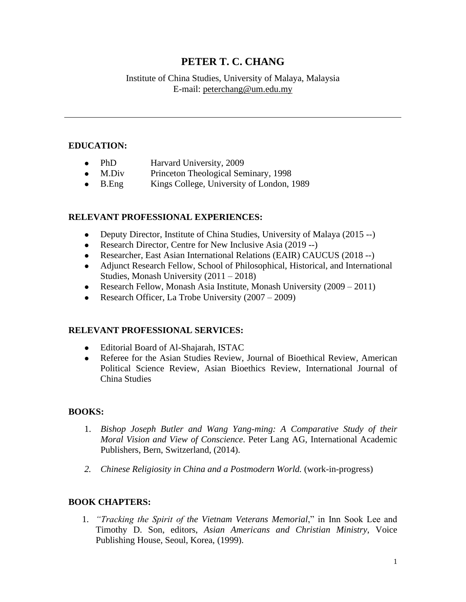# **PETER T. C. CHANG**

# Institute of China Studies, University of Malaya, Malaysia E-mail: peterchang@um.edu.my

# **EDUCATION:**

- PhD Harvard University, 2009
- M.Div Princeton Theological Seminary, 1998
- ⚫ B.Eng Kings College, University of London, 1989

# **RELEVANT PROFESSIONAL EXPERIENCES:**

- Deputy Director, Institute of China Studies, University of Malaya (2015 --)
- Research Director, Centre for New Inclusive Asia (2019 --)
- ⚫ Researcher, East Asian International Relations (EAIR) CAUCUS (2018 --)
- ⚫ Adjunct Research Fellow, School of Philosophical, Historical, and International Studies, Monash University (2011 – 2018)
- Research Fellow, Monash Asia Institute, Monash University  $(2009 2011)$
- Research Officer, La Trobe University  $(2007 2009)$

### **RELEVANT PROFESSIONAL SERVICES:**

- ⚫ Editorial Board of Al-Shajarah, ISTAC
- ⚫ Referee for the Asian Studies Review, Journal of Bioethical Review, American Political Science Review, Asian Bioethics Review, International Journal of China Studies

# **BOOKS:**

- 1. *Bishop Joseph Butler and Wang Yang-ming: A Comparative Study of their Moral Vision and View of Conscience*. Peter Lang AG, International Academic Publishers, Bern, Switzerland, (2014).
- *2. Chinese Religiosity in China and a Postmodern World.* (work-in-progress)

# **BOOK CHAPTERS:**

1. *"Tracking the Spirit of the Vietnam Veterans Memorial*," in Inn Sook Lee and Timothy D. Son, editors, *Asian Americans and Christian Ministry*, Voice Publishing House, Seoul, Korea, (1999).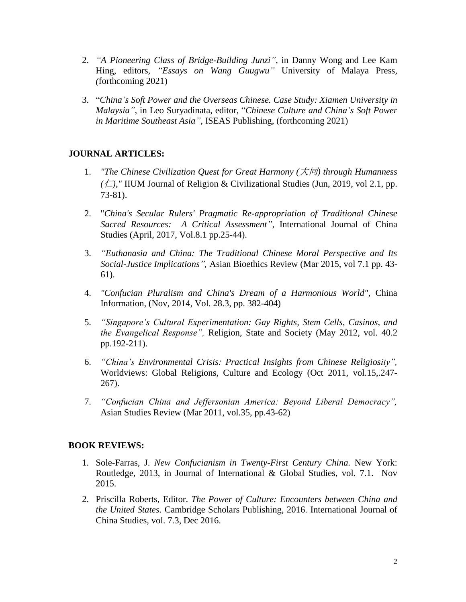- 2. *"A Pioneering Class of Bridge-Building Junzi",* in Danny Wong and Lee Kam Hing*,* editors*, "Essays on Wang Guugwu"* University of Malaya Press*, (*forthcoming 2021)
- 3. "*China's Soft Power and the Overseas Chinese. Case Study: Xiamen University in Malaysia",* in Leo Suryadinata, editor, "*Chinese Culture and China's Soft Power in Maritime Southeast Asia",* ISEAS Publishing, (forthcoming 2021)

# **JOURNAL ARTICLES:**

- 1. *"The Chinese Civilization Quest for Great Harmony (*大同*) through Humanness*   $(\Box)$ ," IIUM Journal of Religion & Civilizational Studies (Jun, 2019, vol 2.1, pp. 73-81).
- 2. "*China's Secular Rulers' Pragmatic Re-appropriation of Traditional Chinese Sacred Resources: A Critical Assessment",* International Journal of China Studies (April, 2017, Vol.8.1 pp.25-44).
- 3. *"Euthanasia and China: The Traditional Chinese Moral Perspective and Its Social-Justice Implications",* Asian Bioethics Review (Mar 2015, vol 7.1 pp. 43- 61).
- 4. *"Confucian Pluralism and China's Dream of a Harmonious World"*, China Information, (Nov, 2014, Vol. 28.3, pp. 382-404)
- 5. *"Singapore's Cultural Experimentation: Gay Rights, Stem Cells, Casinos, and the Evangelical Response",* Religion, State and Society (May 2012, vol. 40.2 pp.192-211).
- 6. *"China's Environmental Crisis: Practical Insights from Chinese Religiosity",*  Worldviews: Global Religions, Culture and Ecology (Oct 2011, vol.15,.247- 267).
- 7. *"Confucian China and Jeffersonian America: Beyond Liberal Democracy",*  Asian Studies Review (Mar 2011, vol.35, pp.43-62)

# **BOOK REVIEWS:**

- 1. Sole-Farras, J. *New Confucianism in Twenty-First Century China.* New York: Routledge, 2013, in Journal of International & Global Studies, vol. 7.1. Nov 2015.
- 2. Priscilla Roberts, Editor. *The Power of Culture: Encounters between China and the United States.* Cambridge Scholars Publishing, 2016. International Journal of China Studies, vol. 7.3, Dec 2016.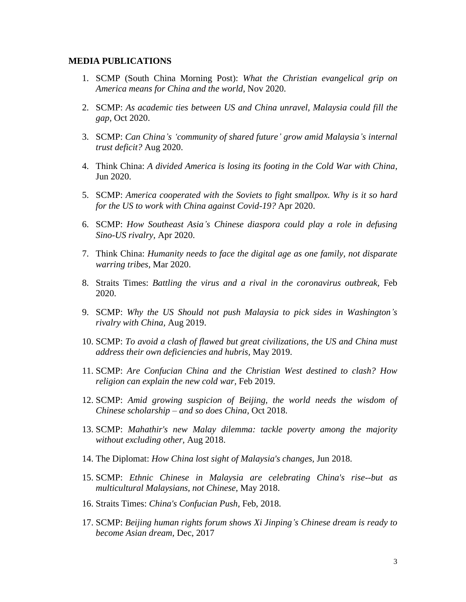#### **MEDIA PUBLICATIONS**

- 1. SCMP (South China Morning Post): *What the Christian evangelical grip on America means for China and the world,* Nov 2020.
- 2. SCMP: *As academic ties between US and China unravel, Malaysia could fill the gap,* Oct 2020.
- 3. SCMP: *Can China's 'community of shared future' grow amid Malaysia's internal trust deficit?* Aug 2020.
- 4. Think China: *A divided America is losing its footing in the Cold War with China,*  Jun 2020.
- 5. SCMP: *America cooperated with the Soviets to fight smallpox. Why is it so hard for the US to work with China against Covid-19?* Apr 2020.
- 6. SCMP: *How Southeast Asia's Chinese diaspora could play a role in defusing Sino-US rivalry,* Apr 2020.
- 7. Think China: *Humanity needs to face the digital age as one family, not disparate warring tribes,* Mar 2020.
- 8. Straits Times: *Battling the virus and a rival in the coronavirus outbreak,* Feb 2020.
- 9. SCMP: *Why the US Should not push Malaysia to pick sides in Washington's rivalry with China,* Aug 2019.
- 10. SCMP: *To avoid a clash of flawed but great civilizations, the US and China must address their own deficiencies and hubris,* May 2019.
- 11. SCMP: *Are Confucian China and the Christian West destined to clash? How religion can explain the new cold war,* Feb 2019.
- 12. SCMP: *Amid growing suspicion of Beijing, the world needs the wisdom of Chinese scholarship – and so does China,* Oct 2018.
- 13. SCMP: *Mahathir's new Malay dilemma: tackle poverty among the majority without excluding other,* Aug 2018.
- 14. The Diplomat: *How China lost sight of Malaysia's changes,* Jun 2018.
- 15. SCMP: *Ethnic Chinese in Malaysia are celebrating China's rise--but as multicultural Malaysians, not Chinese,* May 2018.
- 16. Straits Times: *China's Confucian Push,* Feb, 2018.
- 17. SCMP: *Beijing human rights forum shows Xi Jinping's Chinese dream is ready to become Asian dream,* Dec, 2017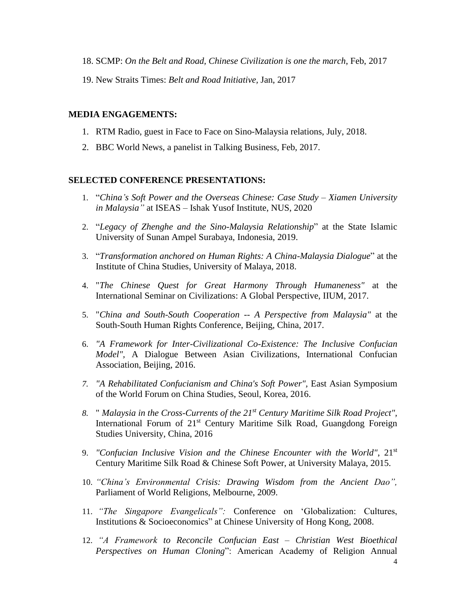- 18. SCMP: *On the Belt and Road, Chinese Civilization is one the march*, Feb, 2017
- 19. New Straits Times: *Belt and Road Initiative,* Jan, 2017

#### **MEDIA ENGAGEMENTS:**

- 1. RTM Radio, guest in Face to Face on Sino-Malaysia relations, July, 2018.
- 2. BBC World News, a panelist in Talking Business, Feb, 2017.

### **SELECTED CONFERENCE PRESENTATIONS:**

- 1. "*China's Soft Power and the Overseas Chinese: Case Study – Xiamen University in Malaysia"* at ISEAS – Ishak Yusof Institute, NUS, 2020
- 2. "*Legacy of Zhenghe and the Sino-Malaysia Relationship*" at the State Islamic University of Sunan Ampel Surabaya, Indonesia, 2019.
- 3. "*Transformation anchored on Human Rights: A China-Malaysia Dialogue*" at the Institute of China Studies, University of Malaya, 2018.
- 4. "*The Chinese Quest for Great Harmony Through Humaneness"* at the International Seminar on Civilizations: A Global Perspective, IIUM, 2017.
- 5. "*China and South-South Cooperation -- A Perspective from Malaysia"* at the South-South Human Rights Conference, Beijing, China, 2017.
- 6. *"A Framework for Inter-Civilizational Co-Existence: The Inclusive Confucian Model",* A Dialogue Between Asian Civilizations, International Confucian Association, Beijing, 2016.
- *7. "A Rehabilitated Confucianism and China's Soft Power",* East Asian Symposium of the World Forum on China Studies, Seoul, Korea, 2016.
- *8.* " *Malaysia in the Cross-Currents of the 21st Century Maritime Silk Road Project",*  International Forum of 21<sup>st</sup> Century Maritime Silk Road, Guangdong Foreign Studies University, China, 2016
- 9. *"Confucian Inclusive Vision and the Chinese Encounter with the World"*, 21st Century Maritime Silk Road & Chinese Soft Power, at University Malaya, 2015.
- 10. *"China's Environmental Crisis: Drawing Wisdom from the Ancient Dao",* Parliament of World Religions, Melbourne, 2009.
- 11. *"The Singapore Evangelicals":* Conference on 'Globalization: Cultures, Institutions & Socioeconomics" at Chinese University of Hong Kong, 2008.
- 12. *"A Framework to Reconcile Confucian East – Christian West Bioethical Perspectives on Human Cloning*": American Academy of Religion Annual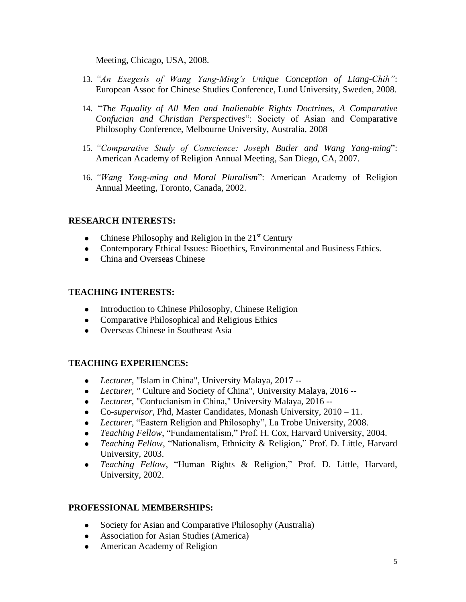Meeting, Chicago, USA, 2008.

- 13. *"An Exegesis of Wang Yang-Ming's Unique Conception of Liang-Chih"*: European Assoc for Chinese Studies Conference, Lund University, Sweden, 2008.
- 14. "*The Equality of All Men and Inalienable Rights Doctrines, A Comparative Confucian and Christian Perspectives*": Society of Asian and Comparative Philosophy Conference, Melbourne University, Australia, 2008
- 15. *"Comparative Study of Conscience: Joseph Butler and Wang Yang-ming*": American Academy of Religion Annual Meeting, San Diego, CA, 2007.
- 16. *"Wang Yang-ming and Moral Pluralism*": American Academy of Religion Annual Meeting, Toronto, Canada, 2002.

# **RESEARCH INTERESTS:**

- Chinese Philosophy and Religion in the  $21<sup>st</sup>$  Century
- ⚫ Contemporary Ethical Issues: Bioethics, Environmental and Business Ethics.
- ⚫ China and Overseas Chinese

### **TEACHING INTERESTS:**

- ⚫ Introduction to Chinese Philosophy, Chinese Religion
- ⚫ Comparative Philosophical and Religious Ethics
- ⚫ Overseas Chinese in Southeast Asia

### **TEACHING EXPERIENCES:**

- ⚫ *Lecturer*, "Islam in China", University Malaya, 2017 --
- ⚫ *Lecturer, "* Culture and Society of China", University Malaya, 2016 --
- ⚫ *Lecturer*, "Confucianism in China," University Malaya, 2016 --
- ⚫ Co-*supervisor*, Phd, Master Candidates, Monash University, 2010 11.
- ⚫ *Lecturer,* "Eastern Religion and Philosophy", La Trobe University, 2008.
- ⚫ *Teaching Fellow*, "Fundamentalism," Prof. H. Cox, Harvard University, 2004.
- ⚫ *Teaching Fellow*, "Nationalism, Ethnicity & Religion," Prof. D. Little, Harvard University, 2003.
- ⚫ *Teaching Fellow*, "Human Rights & Religion," Prof. D. Little, Harvard, University, 2002.

### **PROFESSIONAL MEMBERSHIPS:**

- ⚫ Society for Asian and Comparative Philosophy (Australia)
- ⚫ Association for Asian Studies (America)
- ⚫ American Academy of Religion